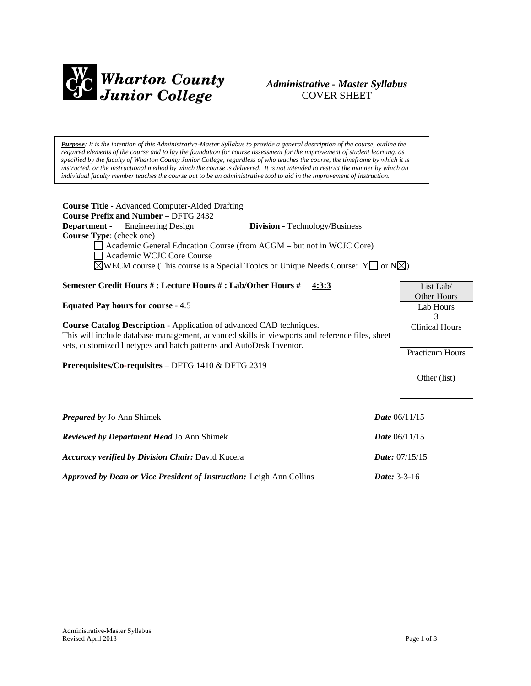

# *Administrative - Master Syllabus*  COVER SHEET

*Purpose: It is the intention of this Administrative-Master Syllabus to provide a general description of the course, outline the required elements of the course and to lay the foundation for course assessment for the improvement of student learning, as specified by the faculty of Wharton County Junior College, regardless of who teaches the course, the timeframe by which it is instructed, or the instructional method by which the course is delivered. It is not intended to restrict the manner by which an individual faculty member teaches the course but to be an administrative tool to aid in the improvement of instruction.*

| <b>Course Title - Advanced Computer-Aided Drafting</b><br><b>Course Prefix and Number - DFTG 2432</b><br><b>Department</b> - Engineering Design<br><b>Division</b> - Technology/Business<br>Course Type: (check one)<br>Academic General Education Course (from ACGM - but not in WCJC Core)<br>Academic WCJC Core Course<br>$\boxtimes$ WECM course (This course is a Special Topics or Unique Needs Course: Y or N $\boxtimes$ )<br>Semester Credit Hours #: Lecture Hours #: Lab/Other Hours #<br>4:3:3<br><b>Equated Pay hours for course - 4.5</b><br><b>Course Catalog Description - Application of advanced CAD techniques.</b><br>This will include database management, advanced skills in viewports and reference files, sheet<br>sets, customized linetypes and hatch patterns and AutoDesk Inventor.<br><b>Prerequisites/Co-requisites – DFTG 1410 &amp; DFTG 2319</b> | List Lab/<br>Other Hours<br>Lab Hours<br>3<br><b>Clinical Hours</b><br><b>Practicum Hours</b><br>Other (list) |  |
|------------------------------------------------------------------------------------------------------------------------------------------------------------------------------------------------------------------------------------------------------------------------------------------------------------------------------------------------------------------------------------------------------------------------------------------------------------------------------------------------------------------------------------------------------------------------------------------------------------------------------------------------------------------------------------------------------------------------------------------------------------------------------------------------------------------------------------------------------------------------------------|---------------------------------------------------------------------------------------------------------------|--|
| <b>Prepared by Jo Ann Shimek</b>                                                                                                                                                                                                                                                                                                                                                                                                                                                                                                                                                                                                                                                                                                                                                                                                                                                   | <i>Date</i> $06/11/15$                                                                                        |  |
| <b>Reviewed by Department Head Jo Ann Shimek</b>                                                                                                                                                                                                                                                                                                                                                                                                                                                                                                                                                                                                                                                                                                                                                                                                                                   | <i>Date</i> $06/11/15$                                                                                        |  |
| <b>Accuracy verified by Division Chair:</b> David Kucera                                                                                                                                                                                                                                                                                                                                                                                                                                                                                                                                                                                                                                                                                                                                                                                                                           | Date: 07/15/15                                                                                                |  |

*Approved by Dean or Vice President of Instruction:* Leigh Ann Collins *Date:* 3-3-16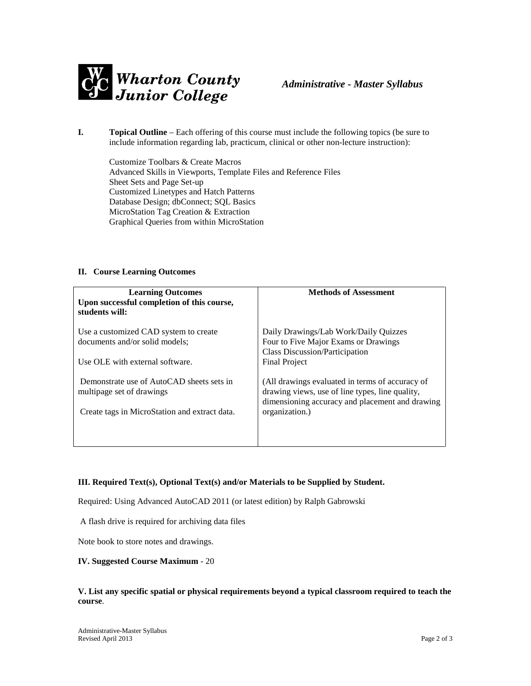

**I. Topical Outline** – Each offering of this course must include the following topics (be sure to include information regarding lab, practicum, clinical or other non-lecture instruction):

Customize Toolbars & Create Macros Advanced Skills in Viewports, Template Files and Reference Files Sheet Sets and Page Set-up Customized Linetypes and Hatch Patterns Database Design; dbConnect; SQL Basics MicroStation Tag Creation & Extraction Graphical Queries from within MicroStation

## **II. Course Learning Outcomes**

| <b>Learning Outcomes</b><br>Upon successful completion of this course,<br>students will:                                | <b>Methods of Assessment</b>                                                                                                                                            |
|-------------------------------------------------------------------------------------------------------------------------|-------------------------------------------------------------------------------------------------------------------------------------------------------------------------|
| Use a customized CAD system to create                                                                                   | Daily Drawings/Lab Work/Daily Quizzes                                                                                                                                   |
| documents and/or solid models;                                                                                          | Four to Five Major Exams or Drawings                                                                                                                                    |
|                                                                                                                         | <b>Class Discussion/Participation</b>                                                                                                                                   |
| Use OLE with external software.                                                                                         | <b>Final Project</b>                                                                                                                                                    |
| Demonstrate use of AutoCAD sheets sets in<br>multipage set of drawings<br>Create tags in MicroStation and extract data. | (All drawings evaluated in terms of accuracy of<br>drawing views, use of line types, line quality,<br>dimensioning accuracy and placement and drawing<br>organization.) |

# **III. Required Text(s), Optional Text(s) and/or Materials to be Supplied by Student.**

Required: Using Advanced AutoCAD 2011 (or latest edition) by Ralph Gabrowski

A flash drive is required for archiving data files

Note book to store notes and drawings.

#### **IV. Suggested Course Maximum** - 20

#### **V. List any specific spatial or physical requirements beyond a typical classroom required to teach the course**.